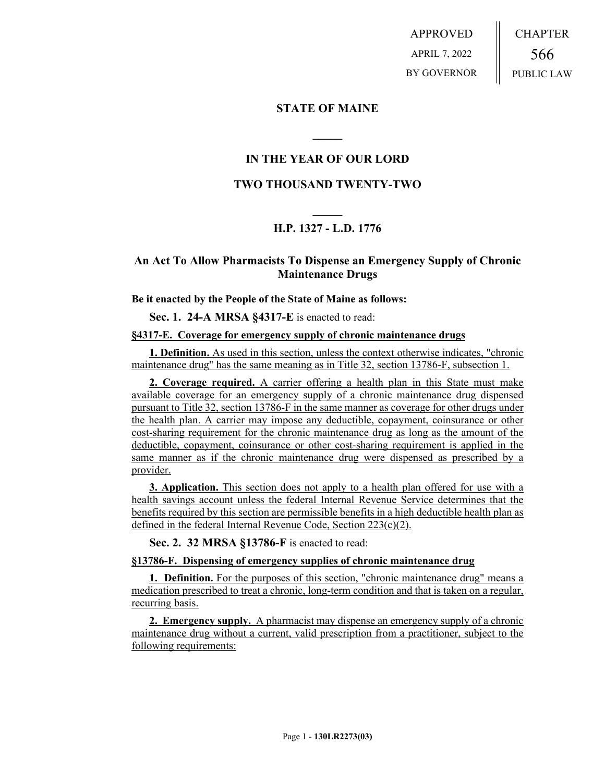APPROVED APRIL 7, 2022 BY GOVERNOR CHAPTER 566 PUBLIC LAW

### **STATE OF MAINE**

### **IN THE YEAR OF OUR LORD**

**\_\_\_\_\_**

## **TWO THOUSAND TWENTY-TWO**

# **\_\_\_\_\_ H.P. 1327 - L.D. 1776**

### **An Act To Allow Pharmacists To Dispense an Emergency Supply of Chronic Maintenance Drugs**

#### **Be it enacted by the People of the State of Maine as follows:**

**Sec. 1. 24-A MRSA §4317-E** is enacted to read:

#### **§4317-E. Coverage for emergency supply of chronic maintenance drugs**

**1. Definition.** As used in this section, unless the context otherwise indicates, "chronic maintenance drug" has the same meaning as in Title 32, section 13786-F, subsection 1.

**2. Coverage required.** A carrier offering a health plan in this State must make available coverage for an emergency supply of a chronic maintenance drug dispensed pursuant to Title 32, section 13786-F in the same manner as coverage for other drugs under the health plan. A carrier may impose any deductible, copayment, coinsurance or other cost-sharing requirement for the chronic maintenance drug as long as the amount of the deductible, copayment, coinsurance or other cost-sharing requirement is applied in the same manner as if the chronic maintenance drug were dispensed as prescribed by a provider.

**3. Application.** This section does not apply to a health plan offered for use with a health savings account unless the federal Internal Revenue Service determines that the benefits required by this section are permissible benefits in a high deductible health plan as defined in the federal Internal Revenue Code, Section 223(c)(2).

**Sec. 2. 32 MRSA §13786-F** is enacted to read:

#### **§13786-F. Dispensing of emergency supplies of chronic maintenance drug**

1. Definition. For the purposes of this section, "chronic maintenance drug" means a medication prescribed to treat a chronic, long-term condition and that is taken on a regular, recurring basis.

**2. Emergency supply.** A pharmacist may dispense an emergency supply of a chronic maintenance drug without a current, valid prescription from a practitioner, subject to the following requirements: